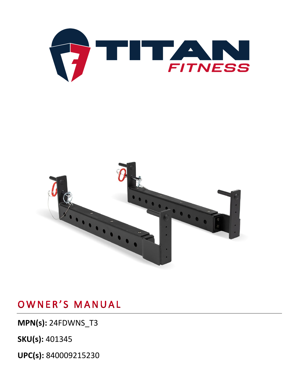



**MPN(s):** 24FDWNS\_T3

**SKU(s):** 401345

**UPC(s):** 840009215230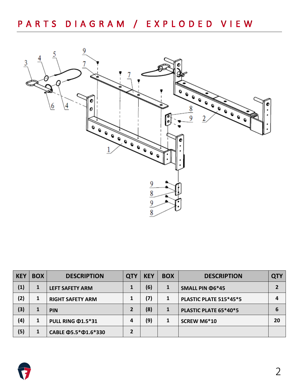

| <b>KEY</b> | <b>BOX</b> | <b>DESCRIPTION</b>               | <b>QTY</b>     | <b>KEY</b> | <b>BOX</b> | <b>DESCRIPTION</b>     | <b>QTY</b> |
|------------|------------|----------------------------------|----------------|------------|------------|------------------------|------------|
| (1)        | 1          | <b>LEFT SAFETY ARM</b>           |                | (6)        | 1          | SMALL PIN $\Phi$ 6*45  |            |
| (2)        | 1          | <b>RIGHT SAFETY ARM</b>          |                | (7)        | 1          | PLASTIC PLATE 515*45*5 | 4          |
| (3)        | 1          | <b>PIN</b>                       | 2              | (8)        | 1          | PLASTIC PLATE 65*40*5  | 6          |
| (4)        | 1          | <b>PULL RING @1.5*31</b>         | 4              | (9)        | 1          | SCREW M6*10            | 20         |
| (5)        | 1          | CABLE $\Phi$ 5.5* $\Phi$ 1.6*330 | $\overline{2}$ |            |            |                        |            |